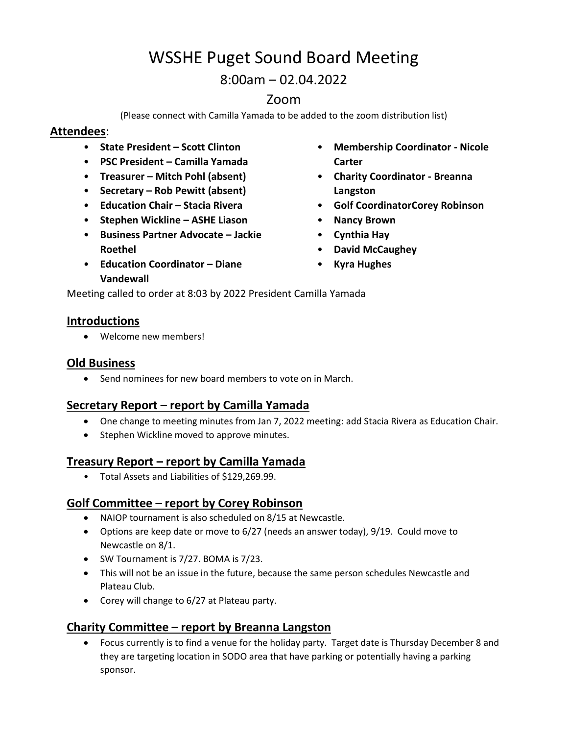# WSSHE Puget Sound Board Meeting

8:00am – 02.04.2022

# Zoom

(Please connect with Camilla Yamada to be added to the zoom distribution list)

## **Attendees**:

- **State President – Scott Clinton**
- **PSC President – Camilla Yamada**
- **Treasurer – Mitch Pohl (absent)**
- **Secretary – Rob Pewitt (absent)**
- **Education Chair – Stacia Rivera**
- **Stephen Wickline – ASHE Liason**
- **Business Partner Advocate – Jackie Roethel**
- **Education Coordinator – Diane Vandewall**
- **Membership Coordinator - Nicole Carter**
- **Charity Coordinator - Breanna Langston**
- **Golf CoordinatorCorey Robinson**
- **Nancy Brown**
- **Cynthia Hay**
- **David McCaughey**
- **Kyra Hughes**

Meeting called to order at 8:03 by 2022 President Camilla Yamada

#### **Introductions**

Welcome new members!

### **Old Business**

• Send nominees for new board members to vote on in March.

## **Secretary Report – report by Camilla Yamada**

- One change to meeting minutes from Jan 7, 2022 meeting: add Stacia Rivera as Education Chair.
- Stephen Wickline moved to approve minutes.

## **Treasury Report – report by Camilla Yamada**

• Total Assets and Liabilities of \$129,269.99.

#### **Golf Committee – report by Corey Robinson**

- NAIOP tournament is also scheduled on 8/15 at Newcastle.
- Options are keep date or move to 6/27 (needs an answer today), 9/19. Could move to Newcastle on 8/1.
- SW Tournament is 7/27. BOMA is 7/23.
- This will not be an issue in the future, because the same person schedules Newcastle and Plateau Club.
- Corey will change to 6/27 at Plateau party.

## **Charity Committee – report by Breanna Langston**

 Focus currently is to find a venue for the holiday party. Target date is Thursday December 8 and they are targeting location in SODO area that have parking or potentially having a parking sponsor.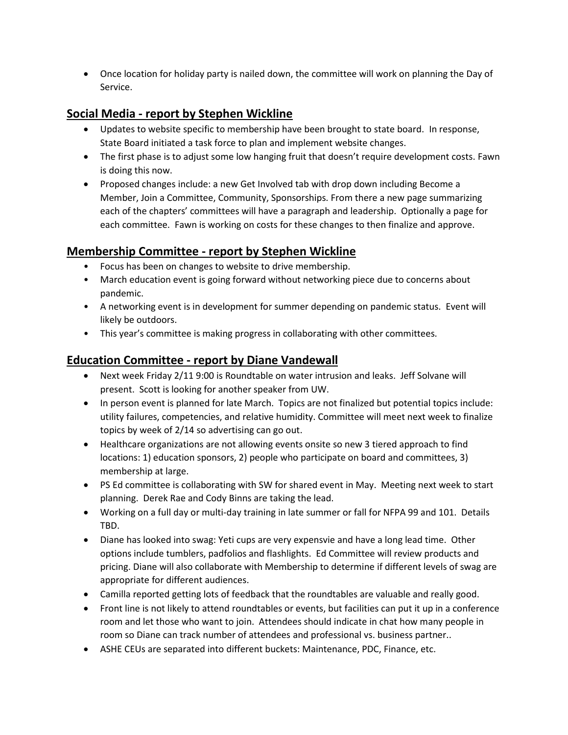Once location for holiday party is nailed down, the committee will work on planning the Day of Service.

## **Social Media - report by Stephen Wickline**

- Updates to website specific to membership have been brought to state board. In response, State Board initiated a task force to plan and implement website changes.
- The first phase is to adjust some low hanging fruit that doesn't require development costs. Fawn is doing this now.
- Proposed changes include: a new Get Involved tab with drop down including Become a Member, Join a Committee, Community, Sponsorships. From there a new page summarizing each of the chapters' committees will have a paragraph and leadership. Optionally a page for each committee. Fawn is working on costs for these changes to then finalize and approve.

## **Membership Committee - report by Stephen Wickline**

- Focus has been on changes to website to drive membership.
- March education event is going forward without networking piece due to concerns about pandemic.
- A networking event is in development for summer depending on pandemic status. Event will likely be outdoors.
- This year's committee is making progress in collaborating with other committees.

## **Education Committee - report by Diane Vandewall**

- Next week Friday 2/11 9:00 is Roundtable on water intrusion and leaks. Jeff Solvane will present. Scott is looking for another speaker from UW.
- In person event is planned for late March. Topics are not finalized but potential topics include: utility failures, competencies, and relative humidity. Committee will meet next week to finalize topics by week of 2/14 so advertising can go out.
- Healthcare organizations are not allowing events onsite so new 3 tiered approach to find locations: 1) education sponsors, 2) people who participate on board and committees, 3) membership at large.
- PS Ed committee is collaborating with SW for shared event in May. Meeting next week to start planning. Derek Rae and Cody Binns are taking the lead.
- Working on a full day or multi-day training in late summer or fall for NFPA 99 and 101. Details TBD.
- Diane has looked into swag: Yeti cups are very expensvie and have a long lead time. Other options include tumblers, padfolios and flashlights. Ed Committee will review products and pricing. Diane will also collaborate with Membership to determine if different levels of swag are appropriate for different audiences.
- Camilla reported getting lots of feedback that the roundtables are valuable and really good.
- Front line is not likely to attend roundtables or events, but facilities can put it up in a conference room and let those who want to join. Attendees should indicate in chat how many people in room so Diane can track number of attendees and professional vs. business partner..
- ASHE CEUs are separated into different buckets: Maintenance, PDC, Finance, etc.